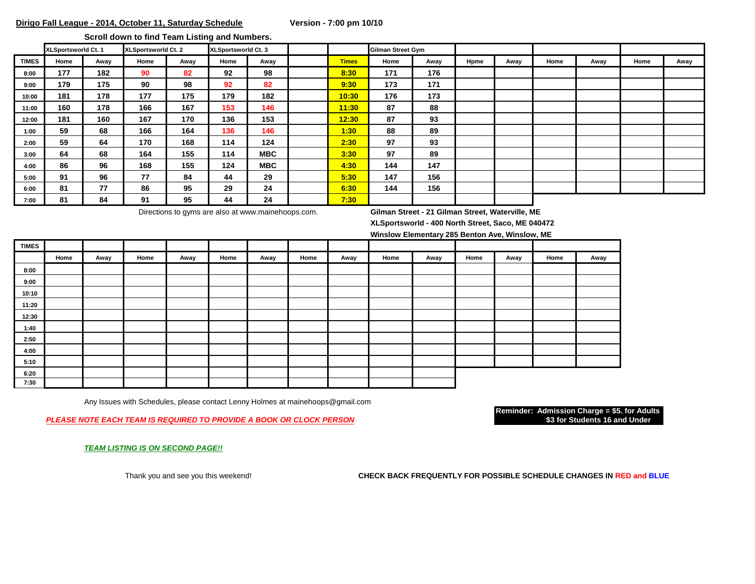**Scroll down to find Team Listing and Numbers.** 

|              | XLSportsworld Ct. 1 |      | XLSportsworld Ct. 2 |      | XLSportsworld Ct. 3 |            |              | Gilman Street Gym |      |      |      |      |      |      |      |
|--------------|---------------------|------|---------------------|------|---------------------|------------|--------------|-------------------|------|------|------|------|------|------|------|
| <b>TIMES</b> | Home                | Away | Home                | Away | Home                | Away       | <b>Times</b> | Home              | Away | Hpme | Away | Home | Away | Home | Away |
| 8:00         | 177                 | 182  | 90                  | 82   | 92                  | 98         | 8:30         | 171               | 176  |      |      |      |      |      |      |
| 9:00         | 179                 | 175  | 90                  | 98   | 92                  | 82         | 9:30         | 173               | 171  |      |      |      |      |      |      |
| 10:00        | 181                 | 178  | 177                 | 175  | 179                 | 182        | 10:30        | 176               | 173  |      |      |      |      |      |      |
| 11:00        | 160                 | 178  | 166                 | 167  | 153                 | 146        | 11:30        | 87                | 88   |      |      |      |      |      |      |
| 12:00        | 181                 | 160  | 167                 | 170  | 136                 | 153        | 12:30        | 87                | 93   |      |      |      |      |      |      |
| 1:00         | 59                  | 68   | 166                 | 164  | 136                 | 146        | 1:30         | 88                | 89   |      |      |      |      |      |      |
| 2:00         | 59                  | 64   | 170                 | 168  | 114                 | 124        | 2:30         | 97                | 93   |      |      |      |      |      |      |
| 3:00         | 64                  | 68   | 164                 | 155  | 114                 | <b>MBC</b> | 3:30         | 97                | 89   |      |      |      |      |      |      |
| 4:00         | 86                  | 96   | 168                 | 155  | 124                 | <b>MBC</b> | 4:30         | 144               | 147  |      |      |      |      |      |      |
| 5:00         | 91                  | 96   | 77                  | 84   | 44                  | 29         | 5:30         | 147               | 156  |      |      |      |      |      |      |
| 6:00         | 81                  | 77   | 86                  | 95   | 29                  | 24         | 6:30         | 144               | 156  |      |      |      |      |      |      |
| 7:00         | 81                  | 84   | 91                  | 95   | 44                  | 24         | 7:30         |                   |      |      |      |      |      |      |      |

Directions to gyms are also at www.mainehoops.com. **Gilman Street - 21 Gilman Street, Waterville, ME**

**XLSportsworld - 400 North Street, Saco, ME 040472**

**Winslow Elementary 285 Benton Ave, Winslow, ME**

| <b>TIMES</b> |      |      |      |      |      |      |      |      |      | $\overline{\phantom{a}}$ |      |      |      |      |
|--------------|------|------|------|------|------|------|------|------|------|--------------------------|------|------|------|------|
|              | Home | Away | Home | Away | Home | Away | Home | Away | Home | Away                     | Home | Away | Home | Away |
| 8:00         |      |      |      |      |      |      |      |      |      |                          |      |      |      |      |
| 9:00         |      |      |      |      |      |      |      |      |      |                          |      |      |      |      |
| 10:10        |      |      |      |      |      |      |      |      |      |                          |      |      |      |      |
| 11:20        |      |      |      |      |      |      |      |      |      |                          |      |      |      |      |
| 12:30        |      |      |      |      |      |      |      |      |      |                          |      |      |      |      |
| 1:40         |      |      |      |      |      |      |      |      |      |                          |      |      |      |      |
| 2:50         |      |      |      |      |      |      |      |      |      |                          |      |      |      |      |
| 4:00         |      |      |      |      |      |      |      |      |      |                          |      |      |      |      |
| 5:10         |      |      |      |      |      |      |      |      |      |                          |      |      |      |      |
| 6:20         |      |      |      |      |      |      |      |      |      |                          |      |      |      |      |
| 7:30         |      |      |      |      |      |      |      |      |      |                          |      |      |      |      |

Any Issues with Schedules, please contact Lenny Holmes at mainehoops@gmail.com

**PLEASE NOTE EACH TEAM IS REQUIRED TO PROVIDE A BOOK OR CLOCK PERSON** 

**Reminder: Admission Charge = \$5. for Adults**

*TEAM LISTING IS ON SECOND PAGE!!*

Thank you and see you this weekend! **CHECK BACK FREQUENTLY FOR POSSIBLE SCHEDULE CHANGES IN RED and BLUE**